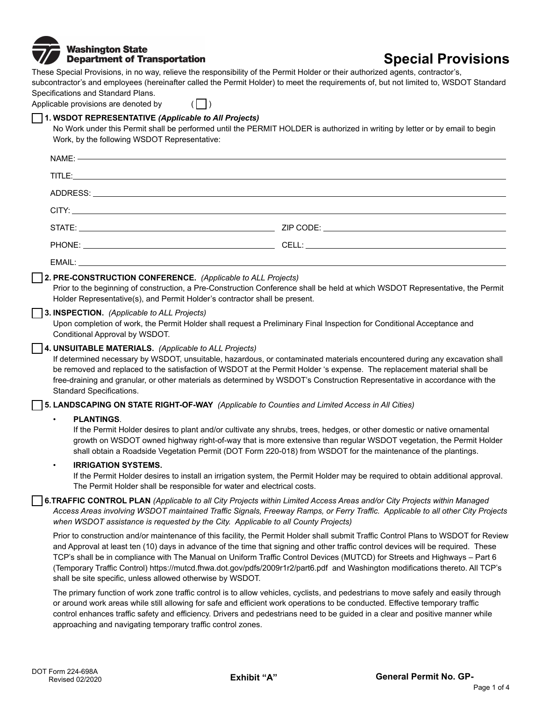

# **Special Provisions**

These Special Provisions, in no way, relieve the responsibility of the Permit Holder or their authorized agents, contractor's, subcontractor's and employees (hereinafter called the Permit Holder) to meet the requirements of, but not limited to, WSDOT Standard Specifications and Standard Plans.

Applicable provisions are denoted by  $(\Box)$ 

# **1. WSDOT REPRESENTATIVE** *(Applicable to All Projects)*

shall be site specific, unless allowed otherwise by WSDOT.

No Work under this Permit shall be performed until the PERMIT HOLDER is authorized in writing by letter or by email to begin Work, by the following WSDOT Representative:

|                                                                                                                                                                                                                                                                                                                                                                                                                                                                                 | TITLE:                                                                                                                                                                                                                                                                                                                                                                                            |                                                                                                                                     |  |
|---------------------------------------------------------------------------------------------------------------------------------------------------------------------------------------------------------------------------------------------------------------------------------------------------------------------------------------------------------------------------------------------------------------------------------------------------------------------------------|---------------------------------------------------------------------------------------------------------------------------------------------------------------------------------------------------------------------------------------------------------------------------------------------------------------------------------------------------------------------------------------------------|-------------------------------------------------------------------------------------------------------------------------------------|--|
|                                                                                                                                                                                                                                                                                                                                                                                                                                                                                 | ADDRESS: AND ANNOUNCEMENT CONTINUES.                                                                                                                                                                                                                                                                                                                                                              |                                                                                                                                     |  |
|                                                                                                                                                                                                                                                                                                                                                                                                                                                                                 | CITY: And the contract of the contract of the contract of the contract of the contract of the contract of the contract of the contract of the contract of the contract of the contract of the contract of the contract of the                                                                                                                                                                     |                                                                                                                                     |  |
|                                                                                                                                                                                                                                                                                                                                                                                                                                                                                 |                                                                                                                                                                                                                                                                                                                                                                                                   |                                                                                                                                     |  |
|                                                                                                                                                                                                                                                                                                                                                                                                                                                                                 |                                                                                                                                                                                                                                                                                                                                                                                                   |                                                                                                                                     |  |
|                                                                                                                                                                                                                                                                                                                                                                                                                                                                                 |                                                                                                                                                                                                                                                                                                                                                                                                   |                                                                                                                                     |  |
| 2. PRE-CONSTRUCTION CONFERENCE. (Applicable to ALL Projects)<br>Prior to the beginning of construction, a Pre-Construction Conference shall be held at which WSDOT Representative, the Permit<br>Holder Representative(s), and Permit Holder's contractor shall be present.                                                                                                                                                                                                     |                                                                                                                                                                                                                                                                                                                                                                                                   |                                                                                                                                     |  |
|                                                                                                                                                                                                                                                                                                                                                                                                                                                                                 | 3. INSPECTION. (Applicable to ALL Projects)<br>Upon completion of work, the Permit Holder shall request a Preliminary Final Inspection for Conditional Acceptance and<br>Conditional Approval by WSDOT.                                                                                                                                                                                           |                                                                                                                                     |  |
| 4. UNSUITABLE MATERIALS. (Applicable to ALL Projects)<br>If determined necessary by WSDOT, unsuitable, hazardous, or contaminated materials encountered during any excavation shall<br>be removed and replaced to the satisfaction of WSDOT at the Permit Holder 's expense. The replacement material shall be<br>free-draining and granular, or other materials as determined by WSDOT's Construction Representative in accordance with the<br><b>Standard Specifications.</b> |                                                                                                                                                                                                                                                                                                                                                                                                   |                                                                                                                                     |  |
|                                                                                                                                                                                                                                                                                                                                                                                                                                                                                 | [5. LANDSCAPING ON STATE RIGHT-OF-WAY (Applicable to Counties and Limited Access in All Cities)                                                                                                                                                                                                                                                                                                   |                                                                                                                                     |  |
|                                                                                                                                                                                                                                                                                                                                                                                                                                                                                 | <b>PLANTINGS.</b><br>$\bullet$<br>If the Permit Holder desires to plant and/or cultivate any shrubs, trees, hedges, or other domestic or native ornamental<br>growth on WSDOT owned highway right-of-way that is more extensive than regular WSDOT vegetation, the Permit Holder<br>shall obtain a Roadside Vegetation Permit (DOT Form 220-018) from WSDOT for the maintenance of the plantings. |                                                                                                                                     |  |
|                                                                                                                                                                                                                                                                                                                                                                                                                                                                                 | <b>IRRIGATION SYSTEMS.</b><br>$\bullet$<br>The Permit Holder shall be responsible for water and electrical costs.                                                                                                                                                                                                                                                                                 | If the Permit Holder desires to install an irrigation system, the Permit Holder may be required to obtain additional approval.      |  |
|                                                                                                                                                                                                                                                                                                                                                                                                                                                                                 | <b>6.TRAFFIC CONTROL PLAN</b> (Applicable to all City Projects within Limited Access Areas and/or City Projects within Managed<br>when WSDOT assistance is requested by the City. Applicable to all County Projects)                                                                                                                                                                              | Access Areas involving WSDOT maintained Traffic Signals, Freeway Ramps, or Ferry Traffic. Applicable to all other City Projects     |  |
|                                                                                                                                                                                                                                                                                                                                                                                                                                                                                 | and Approval at least ten (10) days in advance of the time that signing and other traffic control devices will be required. These<br>TCP's shall be in compliance with The Manual on Uniform Traffic Control Devices (MUTCD) for Streets and Highways - Part 6<br>(Temporary Traffic Control) https://mutcd.fhwa.dot.gov/pdfs/2009r1r2/part6.pdf and Washington modifications thereto. All TCP's  | Prior to construction and/or maintenance of this facility, the Permit Holder shall submit Traffic Control Plans to WSDOT for Review |  |

The primary function of work zone traffic control is to allow vehicles, cyclists, and pedestrians to move safely and easily through or around work areas while still allowing for safe and efficient work operations to be conducted. Effective temporary traffic control enhances traffic safety and efficiency. Drivers and pedestrians need to be guided in a clear and positive manner while approaching and navigating temporary traffic control zones.

Г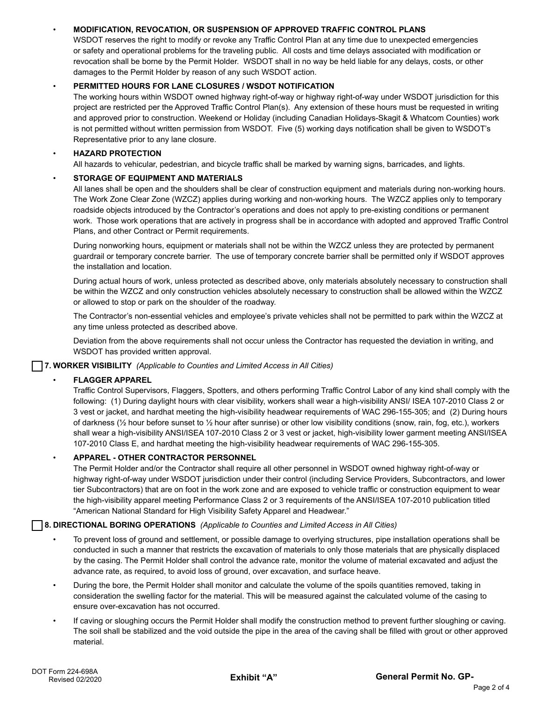# • **MODIFICATION, REVOCATION, OR SUSPENSION OF APPROVED TRAFFIC CONTROL PLANS**

WSDOT reserves the right to modify or revoke any Traffic Control Plan at any time due to unexpected emergencies or safety and operational problems for the traveling public. All costs and time delays associated with modification or revocation shall be borne by the Permit Holder. WSDOT shall in no way be held liable for any delays, costs, or other damages to the Permit Holder by reason of any such WSDOT action.

## • **PERMITTED HOURS FOR LANE CLOSURES / WSDOT NOTIFICATION**

The working hours within WSDOT owned highway right-of-way or highway right-of-way under WSDOT jurisdiction for this project are restricted per the Approved Traffic Control Plan(s). Any extension of these hours must be requested in writing and approved prior to construction. Weekend or Holiday (including Canadian Holidays-Skagit & Whatcom Counties) work is not permitted without written permission from WSDOT. Five (5) working days notification shall be given to WSDOT's Representative prior to any lane closure.

## • **HAZARD PROTECTION**

All hazards to vehicular, pedestrian, and bicycle traffic shall be marked by warning signs, barricades, and lights.

#### • **STORAGE OF EQUIPMENT AND MATERIALS**

All lanes shall be open and the shoulders shall be clear of construction equipment and materials during non-working hours. The Work Zone Clear Zone (WZCZ) applies during working and non-working hours. The WZCZ applies only to temporary roadside objects introduced by the Contractor's operations and does not apply to pre-existing conditions or permanent work. Those work operations that are actively in progress shall be in accordance with adopted and approved Traffic Control Plans, and other Contract or Permit requirements.

During nonworking hours, equipment or materials shall not be within the WZCZ unless they are protected by permanent guardrail or temporary concrete barrier. The use of temporary concrete barrier shall be permitted only if WSDOT approves the installation and location.

During actual hours of work, unless protected as described above, only materials absolutely necessary to construction shall be within the WZCZ and only construction vehicles absolutely necessary to construction shall be allowed within the WZCZ or allowed to stop or park on the shoulder of the roadway.

The Contractor's non-essential vehicles and employee's private vehicles shall not be permitted to park within the WZCZ at any time unless protected as described above.

Deviation from the above requirements shall not occur unless the Contractor has requested the deviation in writing, and WSDOT has provided written approval.

**7. WORKER VISIBILITY** *(Applicable to Counties and Limited Access in All Cities)* 

# • **FLAGGER APPAREL**

Traffic Control Supervisors, Flaggers, Spotters, and others performing Traffic Control Labor of any kind shall comply with the following: (1) During daylight hours with clear visibility, workers shall wear a high-visibility ANSI/ ISEA 107-2010 Class 2 or 3 vest or jacket, and hardhat meeting the high-visibility headwear requirements of WAC 296-155-305; and (2) During hours of darkness (½ hour before sunset to ½ hour after sunrise) or other low visibility conditions (snow, rain, fog, etc.), workers shall wear a high-visibility ANSI/ISEA 107-2010 Class 2 or 3 vest or jacket, high-visibility lower garment meeting ANSI/ISEA 107-2010 Class E, and hardhat meeting the high-visibility headwear requirements of WAC 296-155-305.

# • **APPAREL - OTHER CONTRACTOR PERSONNEL**

The Permit Holder and/or the Contractor shall require all other personnel in WSDOT owned highway right-of-way or highway right-of-way under WSDOT jurisdiction under their control (including Service Providers, Subcontractors, and lower tier Subcontractors) that are on foot in the work zone and are exposed to vehicle traffic or construction equipment to wear the high-visibility apparel meeting Performance Class 2 or 3 requirements of the ANSI/ISEA 107-2010 publication titled "American National Standard for High Visibility Safety Apparel and Headwear."

#### **8. DIRECTIONAL BORING OPERATIONS** *(Applicable to Counties and Limited Access in All Cities)*

- To prevent loss of ground and settlement, or possible damage to overlying structures, pipe installation operations shall be conducted in such a manner that restricts the excavation of materials to only those materials that are physically displaced by the casing. The Permit Holder shall control the advance rate, monitor the volume of material excavated and adjust the advance rate, as required, to avoid loss of ground, over excavation, and surface heave.
- During the bore, the Permit Holder shall monitor and calculate the volume of the spoils quantities removed, taking in consideration the swelling factor for the material. This will be measured against the calculated volume of the casing to ensure over-excavation has not occurred.
- If caving or sloughing occurs the Permit Holder shall modify the construction method to prevent further sloughing or caving. The soil shall be stabilized and the void outside the pipe in the area of the caving shall be filled with grout or other approved material.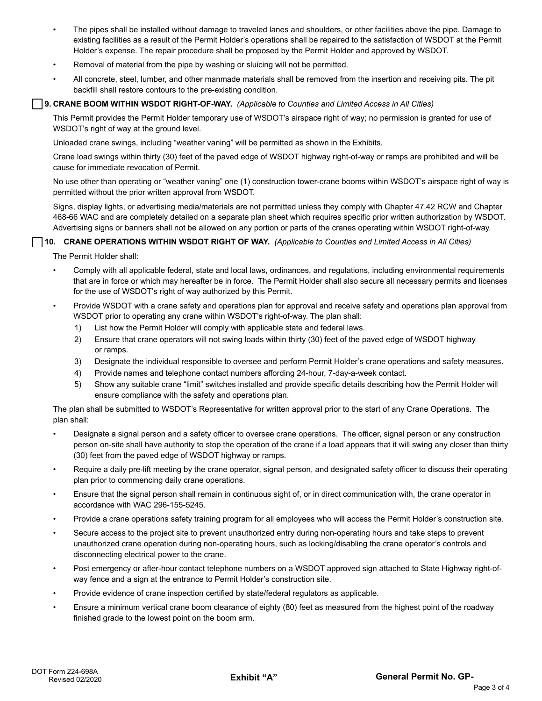- The pipes shall be installed without damage to traveled lanes and shoulders, or other facilities above the pipe. Damage to existing facilities as a result of the Permit Holder's operations shall be repaired to the satisfaction of WSDOT at the Permit Holder's expense. The repair procedure shall be proposed by the Permit Holder and approved by WSDOT.
- Removal of material from the pipe by washing or sluicing will not be permitted.
- All concrete, steel, lumber, and other manmade materials shall be removed from the insertion and receiving pits. The pit backfill shall restore contours to the pre-existing condition.

#### **9. CRANE BOOM WITHIN WSDOT RIGHT-OF-WAY.** *(Applicable to Counties and Limited Access in All Cities)*

This Permit provides the Permit Holder temporary use of WSDOT's airspace right of way; no permission is granted for use of WSDOT's right of way at the ground level.

Unloaded crane swings, including "weather vaning" will be permitted as shown in the Exhibits.

Crane load swings within thirty (30) feet of the paved edge of WSDOT highway right-of-way or ramps are prohibited and will be cause for immediate revocation of Permit.

No use other than operating or "weather vaning" one (1) construction tower-crane booms within WSDOT's airspace right of way is permitted without the prior written approval from WSDOT.

Signs, display lights, or advertising media/materials are not permitted unless they comply with Chapter 47.42 RCW and Chapter 468-66 WAC and are completely detailed on a separate plan sheet which requires specific prior written authorization by WSDOT. Advertising signs or banners shall not be allowed on any portion or parts of the cranes operating within WSDOT right-of-way.

#### **10. CRANE OPERATIONS WITHIN WSDOT RIGHT OF WAY.** *(Applicable to Counties and Limited Access in All Cities)*

The Permit Holder shall:

- Comply with all applicable federal, state and local laws, ordinances, and regulations, including environmental requirements that are in force or which may hereafter be in force. The Permit Holder shall also secure all necessary permits and licenses for the use of WSDOT's right of way authorized by this Permit.
- Provide WSDOT with a crane safety and operations plan for approval and receive safety and operations plan approval from WSDOT prior to operating any crane within WSDOT's right-of-way. The plan shall:
	- 1) List how the Permit Holder will comply with applicable state and federal laws.
	- 2) Ensure that crane operators will not swing loads within thirty (30) feet of the paved edge of WSDOT highway or ramps.
	- 3) Designate the individual responsible to oversee and perform Permit Holder's crane operations and safety measures.
	- 4) Provide names and telephone contact numbers affording 24-hour, 7-day-a-week contact.
	- 5) Show any suitable crane "limit" switches installed and provide specific details describing how the Permit Holder will ensure compliance with the safety and operations plan.

The plan shall be submitted to WSDOT's Representative for written approval prior to the start of any Crane Operations. The plan shall:

- Designate a signal person and a safety officer to oversee crane operations. The officer, signal person or any construction person on-site shall have authority to stop the operation of the crane if a load appears that it will swing any closer than thirty (30) feet from the paved edge of WSDOT highway or ramps.
- Require a daily pre-lift meeting by the crane operator, signal person, and designated safety officer to discuss their operating plan prior to commencing daily crane operations.
- Ensure that the signal person shall remain in continuous sight of, or in direct communication with, the crane operator in accordance with WAC 296-155-5245.
- Provide a crane operations safety training program for all employees who will access the Permit Holder's construction site.
- Secure access to the project site to prevent unauthorized entry during non-operating hours and take steps to prevent unauthorized crane operation during non-operating hours, such as locking/disabling the crane operator's controls and disconnecting electrical power to the crane.
- Post emergency or after-hour contact telephone numbers on a WSDOT approved sign attached to State Highway right-ofway fence and a sign at the entrance to Permit Holder's construction site.
- Provide evidence of crane inspection certified by state/federal regulators as applicable.
- Ensure a minimum vertical crane boom clearance of eighty (80) feet as measured from the highest point of the roadway finished grade to the lowest point on the boom arm.